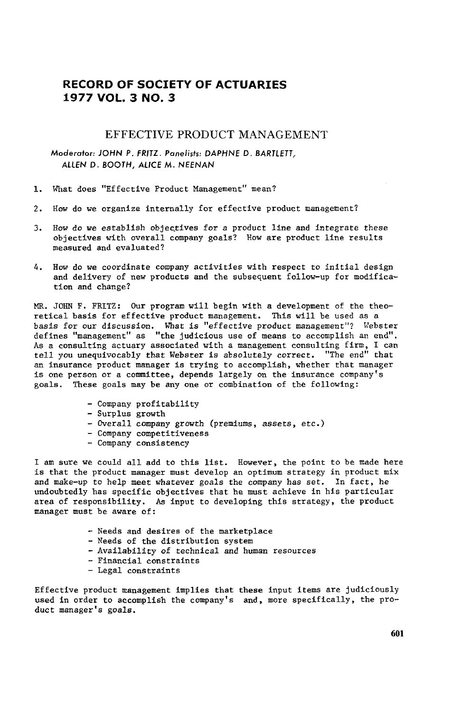## **RECORD OF SOCIETY** O**F ACTUA**R**IES 19**7**7 VOL. 3 N**O**. 3**

## EFFECTIVE PRODUCT MANAGEMENT

M**o**d**e**rat**o**r: JO**H**N **P**. FRITZ. **P**an**e**lists: DA**P**HNE D. BARTLETT, ALLEN D. BOOTH, ALICE M. NEENAN

- i. What does "Effective Product Management" mean?
- 2. How do we organize internally for effective product management?
- 3. How do we establish objectives for a product line and integrate these objectives with overall company goals? How are product line results measured and evaluated?
- 4. How do we coordinate company activities with respect to initial design and delivery of new products and the subsequent follow-up for modification and change?

MR. JOHN F. FRITZ: Our program will begin with a development of the theoretical basis for effective product management. This will be used as a basis for our discussion. What is "effective product management"? Webster defines "management" as "the **j**udi**ci**ous use of means to a**cc**omplish an e**n**d". As a **c**onsulting actuary associated w**i**th a management **c**onsu]ting firm, I can tell you unequivo**c**ably that Webster is absolutely corre**c**t. "The end" that an insuran**c**e produ**c**t ma**n**ager is trying to accompl**i**sh, whether that manager is one person or a committee, depends largely on the insuran**c**e **c**ompany's goals. These goals may be any one or **c**om**b**ination of the following:

- **C**ompa**n**y profitability
- Surplus growth
- Overa**l**l company growth (premiums, assets, et**c**.)
- **C**ompany competitive**n**ess
- Company co**n**sistency

I am sure we could all add to th**i**s list. However, the po**i**nt to be made here is that the product manager must develop an optimum strategy in product mix and make-up to help meet whatever goals the company has set. In fact, he undoubtedly has spec**i**f**i**c ob**j**ect**i**ves that he m**u**st a**c**hieve in his particular area of respo**n**sib**i**lity. As input to developi**n**g th**i**s strategy, the pro**d**uct manager m**u**st be aware of:

- Needs an**d** des**i**res of the marketpla**c**e
- Needs of the **di**stribution system
- **-** Availability of techni**c**al and human resources
- Financial constraints
- Legal constraints

Effective product management implies that these input items are Judiciously used in order to accomplish the company's and, more specifically, the product manager's goals.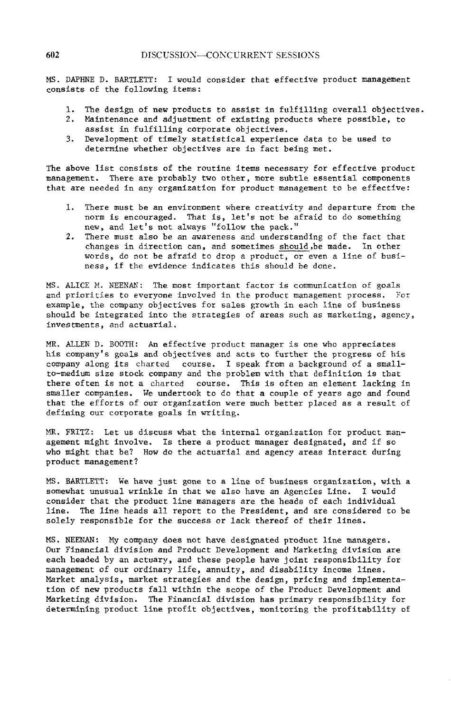MS. DAPHNE D. BARTLETT: I would consider that effective product management consists of the following items:

- 1. The design of new products to assist in fulfilling overall objectives.<br>2. Maintenance and adjustment of existing products where possible, to
- Maintenance and adjustment of existing products where possible, to assist in fulfilling corporate objectives.
- 3. Development of timely statistical experience data to be used to determine whether objectives are in fact being met.

The above list consists of the routine items necessary for effective product management. There are probably two other, more subtle essential components that are needed in any organization for product management to be effective:

- i. There must be an environment where creativity and departure from the norm is encouraged. That is, let's not be afraid to do something new, and let's not always "follow the pack."
- 2. There must also be an awareness and understanding of the fact that changes in direction can, and sometimes should,be made. In other words, do not be afraid to drop a product, or even a line of business, if the evidence indicates this should be done.

MS. ALICE M. NEENAN: The most important factor is communication of goals and priorities to everyone involved in the product management process. For example, the company objectives for sales growth in each line of business should be integrated into the strategies of areas such as marketing, agency, investments, and actuarial.

MR. ALLEN D. BOOTH: An effective product manager is one who appreciates his company's goals and objectives and acts to further the progress of his company along its charted course. I speak from a background of a smallto-medium size stock company and the problem with that definition is that there often is not a charted course. This is often an element lacking in smaller companies. We undertook to do that a couple of years ago and found that the efforts of our organization were much better placed as a result of defining our corporate goals in writing.

MR. FRITZ: Let us discuss what the internal organization for product management might involve. Is there a product manager designated, and if so who might that be? How do the actuarial and agency areas interact during product management?

MS. BARTLETT: We have just gone to a line of business **o**rga**n**ization, with a somewhat unusual wrinkle in that we also have an Agencies Line. I would consider that the product line managers are the heads of each individual line. The line heads all report to the President, and are considered to be solely responsible for the success or lack thereof of their lines.

MS. NEENAN: My company does not have designated product llne managers. Our Financial division and Product Development and Marketing division are each headed by an actuary, and these people have joint responsibility for management of our ordinary life, annuity, and disability income lines. Market analysis, market strategies and the design, pricing and implementation of new products fall within the scope of the Product Development and Marketing division. The Financial division has primary responsibility for determining product line profit objectives, monitoring the profitability of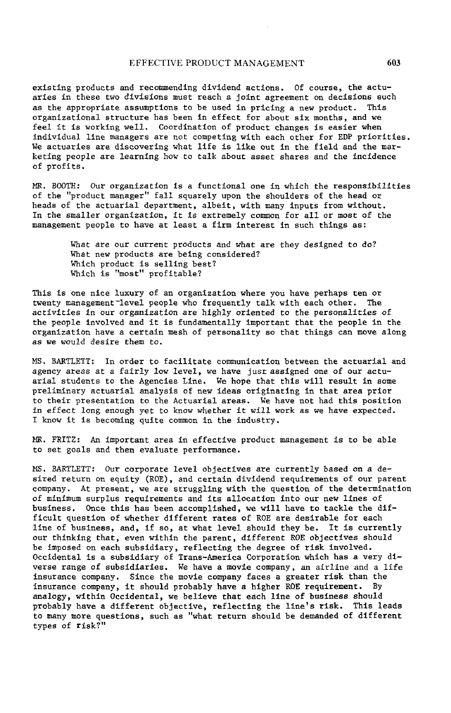## EFFECTIVE PRODUCT MANAGEMENT **603**

existing products and recommending dividend actions. Of course, the actuaries in these two divisions must reach a Joint agreement on decisions such as the appropriate assumptions to be used in pricing a new product. This organizational structure has been in effect for about six months, and we feel it is working well, Coordination of pr**o**duct changes is easier when individual llne managers are not competing with each other for EDP priorities, We actuaries are discovering what life is like out in the field and the marketing pe**o**ple are learning how to talk about asset shares and the incidence of profits.

MR. BOOTH: Our organization is a functi**o**nal one in which the responsibilities of the "product manager" fall squarely upon the shoulders of the head or heads of the actuarial department, albeit, with many inputs from without. In the smaller **o**rganizati**o**n, it is extremely c**o**mm**o**n for all or most of the management people to have at least a firm interest in such things as:

> What are our current products and what are they designed to do? What new products are being considered? Which product is selling best? Which is "most" profitable?

This is one nice luxury of an organization where you have perhaps ten or twenty management-level people who frequently talk with each other. The activities in our organization are highly oriented t**o** the personalities of the people involved and it is fundamentally important that the people in the organization have a certain mesh of personality so that things can move along as we w**o**u**l**d desire them t**o**.

MS. BARTLETT: In order to fa**c**ilitate **c**ommuni**c**at**i**o**n** between the a**c**tuarial and agency areas at a fairly **l**ow level, we have **j**ust a**s**signed one of o**u**r actuarial stude**n**ts to the Age**nc**ies Li**n**e. We hope that this w**i**ll result i**n** some preliminary actuarial a**n**alysis of new ideas **o**rigi**n**ati**n**g in that area prior to their presentatio**n** to the A**c**tuarial areas. We have not had this position in effect long enough yet to know whether it will work as we have expected. I know it is becoming quite **c**ommon in the i**n**dustry.

MR. FRITZ: An important area in effective product management is to be able to set goals and the**n** eval**u**ate performa**nc**e.

MS. BARTLETT: Our corporate level ob**j**ectives are curre**n**tly based on a desired ret**u**rn on equi**t**y (ROE), and **c**ertai**n** dividend req**u**irements of o**u**r pare**n**t company. At present, we are struggling with the question of the determinatio**n** of minim**u**m surplus req**u**ireme**n**ts and its al**l**o**c**ation into o**u**r new lines of business. On**c**e this has been ac**c**omplished, we will have to ta**c**kle the diffi**c**ult question of whether different rates of ROE are desirable for each li**n**e of business, and, if so, at what level should they be. It is **c**urre**n**tly o**u**r thinking that, even within the parent, differe**n**t ROE objectives should be imposed on each subsidiary, reflecting the degree of risk involved. O**cc**i**d**ental is a subsidiary of Tra**n**s-America **C**orporatio**n** whi**c**h has a very diverse r**a**nge of subsidiaries. We have a movie compa**n**y, an airline and a **l**ife insuran**c**e **c**ompany. **S**i**nc**e the movie company faces a greater risk than the insuran**c**e company**,** it sho**u**ld probably have a higher ROE req**u**ireme**n**t. By analogy, within O**cc**idental, we believe that ea**c**h llne of business should probably have a different obje**c**tive, reflecting the llne's risk. This leads to many more questions, such as "what return should he demanded of different types of risk?"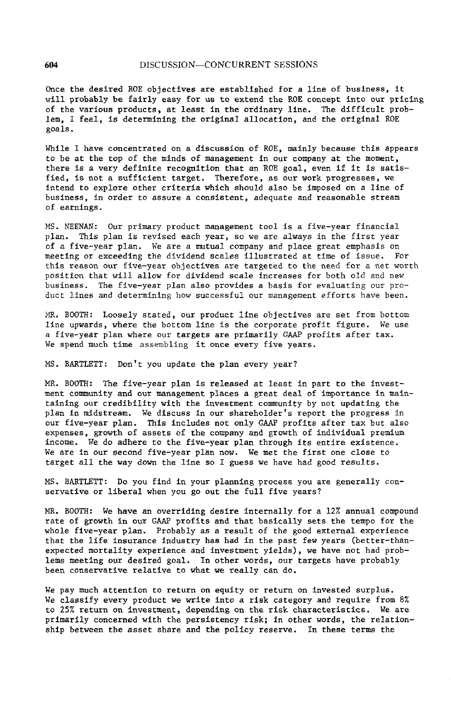Once the desired ROE objectives are established for a line of business, it will probably be fairly easy for us to extend the ROE concept into our pricing of the various products, at least in the ordinary line. The difficult problem, I feel, is determining the original allocation, and the original ROE goals.

While I have concentrated on a discussion of ROE, mainly because this appears to be at the top of the minds of management in our company at the moment, there is a very definite recognition that an ROE goal, even if it is satisfied, is not a sufficient target. Therefore, as our work progresses, we intend to explore other criteria which should also be imposed on a line of business, in order to assure a consistent, adequate and reasonable stream of earnings.

MS. NEENAN: Our primary product management tool is a five-year financial plan. This plan is revised each year, so we are always in the first year of a five-year plan. We are a mutual company and place great emphasis on meeting or exceeding the dividend scales illustrated at time of issue. For this reason our five-**y**ear objectives are targeted to the need for a net worth position that will allow for dividend scale increases for both old and new business. The five-year plan also provides a basis for evaluating our product lines and determining how successful our management efforts have been.

MR. BOOTH: Loosely stated, our product line objectives are set from bottom line upwards, where the bottom line is the corporate profit figure. We use a five-year plan where our targets are primarily GAAP profits after tax. We spend much time assembling it once every five **y**ears**.**

MS. BARTLETT: Don't you update the plan every year?

MR. BOOTH: The five-year plan is released at least in part to the investmerit c**o**mmunity and **o**ur management places a great deal of imp**o**rtance in maintaining our credibility with the investment community by not updating the plan in midstream. We discuss in our shareholder's report the progress in our five-year plan. This includes not only GAAP profits after tax but also expenses, growth of assets of the company and growth of individual premium income. We do adhere to the five-year plan through its entire existence. We are in our second five-year plan now. We met the first one close to target all the way down the llne so I guess we have had good results.

MS. BARTLETT: Do you find in your planning process you are generally conservative or liberal when you go out the full five years?

MR. BOOTH: We have an overriding desire internally for a 12% annual compound rate of growth in our GAAP profits and that basically sets the tempo for the whole five-year plan. Probably as a result of the good external experience that the life insurance industry has had in the past few years (better-thanexpected mortality experience and investment yields), we have not had problems meeting our desired goal. In other words, our targets have probably been conservative relative to what we really can do.

We pay much attention to return on equity or return on invested surplus. We classify every product we write into a risk category and require from 8% to 25% return on investment, depending on the risk characteristics. We are primarily concerned with the persistency risk; in other words, the relationship between the asset share and the policy reserve. In these terms the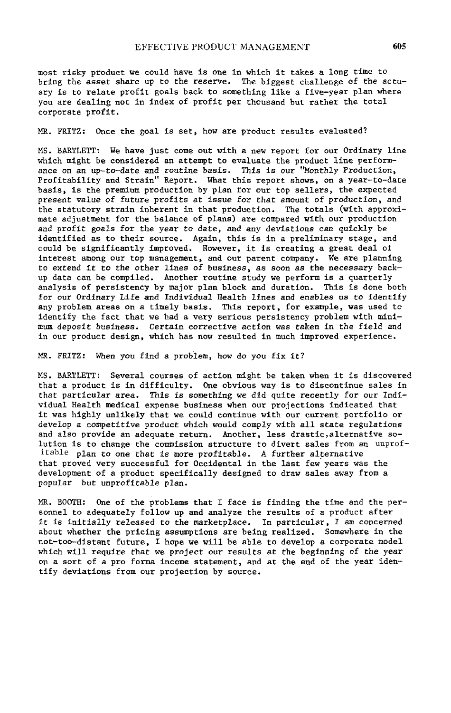most risky **p**roduct we could have is one in which it takes **a** long time to bring the **a**sset share up to the reserve. The biggest challenge of the actuary is to relate profit goals b**a**ck to something llke a five-year pl**a**n where you are de**a**ling not in index of profit per thousand but rather the total corporate profit**.**

MR. FRITZ: Once the goal is set, how are product results evaluated?

MS. BARTLETT: We h**a**ve just come out wit**h** a new report for our Ordinary line which might be considered an attempt to evaluate the product line performan**c**e **o**n an **u**p**-**t**o**-date a**n**d ro**u**ti**ne** basis. This is our "Month**l**y Pr**o**du**c**ti**o**n, Prof**i**tab**i**lity and Strain" Report. What this report **s**hows, on a year-to-d**a**te b**a**sis, **i**s the pr**e**mium product**i**on by plan for o**u**r top sellers, the expe**c**ted present va**l**ue **o**f future pr**o**fits at iss**u**e for t**h**at amount of prod**u**ction, and the statutory strain inhe**r**ent in that produ**c**t**i**on. The totals (with approximate adjustment for the b**a**lan**c**e of plan**s)** are **c**ompared with our production and **p**rofit **g**oa**l**s for the year to date, and **a**ny deviations can quick**l**y **b**e ident**i**f**i**ed as to the**i**r source. Aga**i**n, th**i**s is **i**n a prelim**i**nary stage, and could be sign**i**f**ic**antly improved. **H**owever, it is **c**reating **a** great de**a**l of **i**nter**e**st among our t**o**p management, and our parent company. We are **p**lanning to exte**n**d it to the ot**h**er **l**ine**s** of business, as **s**oon a**s** the necessary bac**k**up data **c**an be comp**i**led. Another rout**in**e study we perform is a q**u**arterly a**n**alysis of persisten**c**y by ma**j**or plan blo**c**k and duratio**n**. This is done both for o**u**r Ordinary L**i**fe and I**n**dividual Health lines and enables us to identify **a**ny pro**b**lem areas on a timely basis. This report, for example, was used to **i**dentify the fa**c**t that we had a very serious persistency pro**b**lem with mi**n**imum dep**o**sit business. **C**ertain corrective action was taken in the field and in our produ**c**t design, wh**i**ch has now resulted in **m**u**c**h improved experie**nc**e.

MR. FRITZ: When you find a problem, how do you fix it?

MS. BARTLETT: Several co**u**rses **o**f a**c**tion might be taken whe**n** it is d**i**s**c**overed that a produ**c**t is in diffic**u**lty. One obvio**u**s way is to d**i**sco**n**ti**n**ue sales in that particular area. This is somet**h**ing we did quite re**c**ently for our In**d**lvidual Health med**ic**al expense **bu**siness when our pro**j**e**c**tio**n**s indicate**d** that it was highly u**n**likely that we **c**ould **c**ontin**u**e with our **c**urrent portfolio or develop a competitive prod**u**ct which wo**u**ld comply with all state reg**u**lations a**n**d also provide an a**d**eq**u**ate ret**u**r**n**. Another, less drastlc,alternative solution is to change the commission structure to divert sales from an unprofitable plan to one that is more profitable. A further alternative that prove**d** very suc**c**essful for Occ**i**dental in the last fewyears was the development of a product spe**c**ifically designed to draw sales away from a **p**opular but unprofitable plan.

MR. BOOTH: One of the problems that I fa**c**e is find**i**ng the time and the person**n**el to ade**q**uately follow up a**n**d analyze the res**u**lts of a pro**d**uct after it is initially released to the marketplace. In **p**articular, I am concerned a**b**out whether the pricing assumpt**i**ons are **b**eing realized. Somewhere in the not-too-d**l**stant future, I hope we will **b**e able to develop a corporate model which will req**u**ire that we project o**u**r results at the begin**n**ing of the year o**n** a sort of a pro forma income stateme**n**t, and at the e**n**d of the year ide**n**t**i**fy dev**i**at**i**o**n**s from our pro**j**e**c**t**i**on by sour**c**e.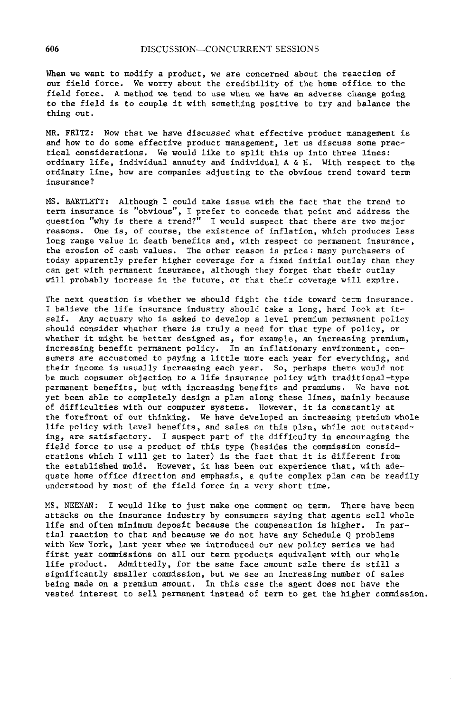When we want to mo**d**ify a product, we are concerned about the reaction of our field force. We worry about the credibility of the home office to the field force. A method we tend to use when we have an adverse change going to the field is to couple it with something positive to try and balance the thing out.

MR. FRITZ: Now that we have discussed what effective product management is and how to do some effective product management, let us discuss some practical considerations. We would like to split this up into three lines: ordinary life, individual annuity and individual A & H. With respect to the ordinary line, how are companies adjusting to the obvious trend toward term insurance?

MS. BARTLETT: Although I could take issue with the fact that the trend to term insurance is "obvious"\_ I prefer to concede that point and address the question "why is there a trend?" I would suspect that there are two major reasons. One is, of course, the existence of inflation, which produces less long range value in death benefits and, with respect to permanent insurance, the erosion of cash values. The other reason is price: many purchasers of today apparently prefer higher coverage for a fixed initial outlay than they cam get with permanent insurance, although they forget that their outlay will probably increase in the future, or that their coverage will expire.

The next question is whether we should fight the tide toward term insurance. I believe the life insurance industry should take a long, hard look at itself. Any actuary who is asked to develop a level premium permanent policy should consider whether there is truly a need for that type of policy, or whether it might be better designed as\_ for example, an in**c**reasing premium, increasing benefit permanent policy. In an inflationary environment, consumers are accustomed to paying a little more each year for everything, and their income is usually increasing each year. So, perhaps there would not be much consumer objection to a life insurance policy with traditional-type permanent benefits, but with increasing benefits and premiums. We have not yet been able to completely design a plan along these lines, mainly because of difficulties with our computer systems. However, it is constantly at the forefront of our thinking. We have developed an increasing premium whole life policy with level benefits, and sales on this plan, while not outstanding, are satisfactory. I suspect part of the difficulty in encouraging the field force to use a product of this type (besides the commission considerations which I will get to later) is the fact that it is different from the established mold. However, it has been our experience that, with adequate home office direction and emphasis, a quite complex plan can be readily understood by most of the field force in a very short time.

MS. NEENAN: I would like to just make one comment on term. There have been attacks on the insurance industry by consumers saying that agents sell whole llfe and often minimum deposit because the compensation is higher. In partial reaction to that and because we do not have any Schedule Q problems with New York, last year when we introduced our new policy series we had first year commissions on all our term products equivalent with our whole life product. Admittedly, for the same face amount sale there is still a significantly smaller commission, but we see an increasing number of sales being made on a premium amount. In this case the agent does not have the vested interest to sell permanent instead of term to get the higher commission.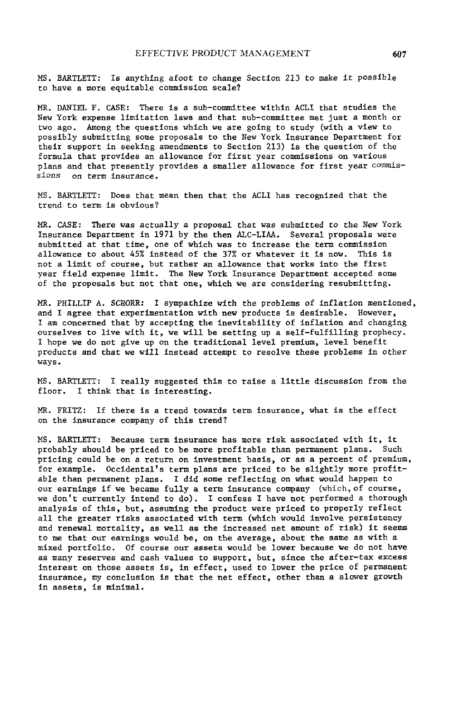MS. BARTLETT: Is anything afoot to change Section 213 to make it possible to have a more equitable commission scale?

MR. DANIEL F. CASE: There is a sub-committee within ACLI that studies the New York expense limitation laws and that sub-commlttee met just a month or two ago. Among the questions which we are going to study (with a view to possibly submitting some proposals to the New York Insurance Department for their support in seeking amendments to Section 213) is the question of the formula that provides an allowance for first year commissions on various plans and that presently provides a smaller allowance for first year commis-<br>sions on term insurance. on term insurance.

MS. BARTLETT: Does that mean then that the ACLI has recognized that the trend to term is obvious?

MR. CASE: There was actually a proposal that was submitted to the New York Insurance Department in 1971 by the then ALC-LIAA. Several proposals were submitted at that time, one of which was to increase the term commission allowance to about 45% instead of the 37% or whatever it is now. This is not a limit of course, but rather an allowance that works into the first year field expense limit. The New York Insurance Department accepted some of the proposals but not that one, which we are considering resubmitting.

MR. FHILLIP A. SCHORR: I sympathize with the problems of inflation mentioned, and I agree that experimentation with new products is desirable. However, I am concerned that by accepting the inevitability of inflation and changing ourselves to live with it, we will be setting up a self-fulfilllng prophecy. I hope we do not give up on the traditional level premium, level benefit products and that we will instead attempt to resolve these problems in other ways.

MS. BARTLETT: I really suggested this to raise a little discussion from the I think that is interesting.

MR. FRITZ: If there is a trend towards term insurance, what is the effect on the insurance company of this trend?

MS. BARTLETT: Because term insurance has more risk associated with it, it probably should be priced to be more profitable than permanent plans. Such pricing could be on a return on investment basis, or as a percent of premium, for example. Oecldental's term plans are priced to be slightly more profitable than permanent plans. I did some reflecting on what would happen to our earnings if we became fully a term insurance company (which, of course, we don't currently intend to do). I confess I have not performed a thorough analysis of this, but, assuming the product were priced to properly reflect all the greater risks associated with term (which would involve persistency and renewal mortality, as well as the increased net amount of risk) it seems to me that our earnings would be, on the average, about the same as with a mixed portfolio. Of course our assets would be lower because we do not have as many reserves and cash values to support, but, since the after-tax excess interest on those assets is, in effect, used to lower the price of permanent insurance, my conclusion is that the net effect, other than a slower growth in assets, is minimal.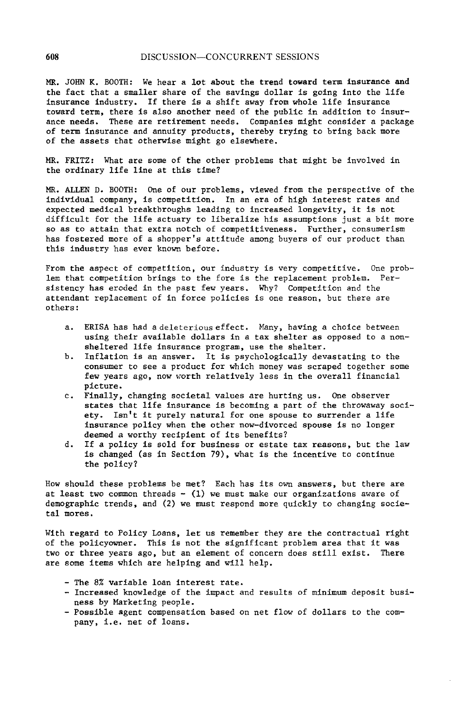MR**.** J**O**HN K**.** BO**O**TH: We hear a **lo**t **ab**o**ut t**he **t**rend **t**o**w**a**r**d **t**erm **ins**u**r**an**ce a**n**d** the fact that a sma**ll**er share of the savings do**l**l**a**r is going into the **l**ife insuran**c**e industry. If there is a shift away from whole l**l**fe insurance tow**a**rd term, there is also another need of the public in addition to insurance needs. These are retirement needs**.** Compan**i**es might consider a package of term insuran**c**e and annuity produ**c**ts, thereby trying to bring back more of the assets that otherwise might go e**l**sewhere.

MR. FRITZ**:** W**h**at are some of the other prob**l**ems that might he involved in the ordinary **l**ife llne at th**is** time?

M**R**. ALLEN D**.** BOOTH: One of our problems, viewed from the perspect**i**ve of t**h**e individua**l** company, is compet**i**tion. In an era of high interest rates and expected med**i**cal breakthroug**h**s leading to **i**ncreased longev**i**ty, it is not difficu**l**t for the **ll**fe actuary to libera**l**ize his assumpt**i**ons just a bit more so as to atta**i**n t**h**at ext**r**a not**c**h of competit**i**veness**.** Further, consumerism has fostered more of a shopper'**s** attitude among buyers of our product than this industry has ever known before**.**

From the aspec**t** of competition, our industry is very compet**i**tive. O**n**e problem that **c**ompetitio**n** brings to the fore is the rep**l**a**c**ement prob**l**em. Persistency has eroded in the p**a**st few years. Why? Compet**i**tion and the attend**a**nt rep**l**acement of in force pol**i**c**i**es is one re**a**son, but there are **o**thers:

- a. ERISA has had a deleterious effect. Many, having a choice between using their available do**ll**ars in a tax shelter as opposed to a nonsheltered l**l**fe insurance program, use the shelter.
- b. Inflation is an answ**e**r. It is p**s**ychological**l**y devas**t**at**i**ng to the consumer to see a produ**c**t for which money was scraped together some few years ago, now worth relatively less in the overall financ**i**al picture.
- c. F**i**nally, changing societal values are hurting **u**s**.** One observer states that life insurance is becoming a part of the throwaway soci-ety. Isn't it purely natural for one spouse to surrender a life Isn't it purely natural for one spouse to surrender a life in**s**urance policy when the other now**-**divorced spouse is no longer deemed a worthy recipient of its benefits?
- d. If a po**l**i**c**y is **s**old for business or estate tax reasons, but the law is changed (as in Section 79), what is the incentive to continue the policy?

How sho**ul**d these problems be met? Each has its ow**n** answers, but there are at least two common threads - (**I**) we mus**t** make our organizations aware of demographic trends, and (2) we must respond more quickly to chang**i**ng s**o**cieta**l** m**o**res.

With regard to Po**l**i**c**y Loans, let us remember they are the con**t**ra**c**tua**l** right of the po**l**icyowner. This is not the significant problem area that it was two or three years ago, but an element of **c**oncern does stil**l** exist. There are some items which are helping and wi**ll** help.

- The 8% variable loan interest rate.
- Increased know**l**edge of the impact and results of min**i**mum depos**i**t bus**i**ness by Marketing people.
- Poss**i**b**l**e **a**gen**t c**ompensation based on net f**l**ow of do**l**lars to the company, i**.**e. n**et** of **l**oans.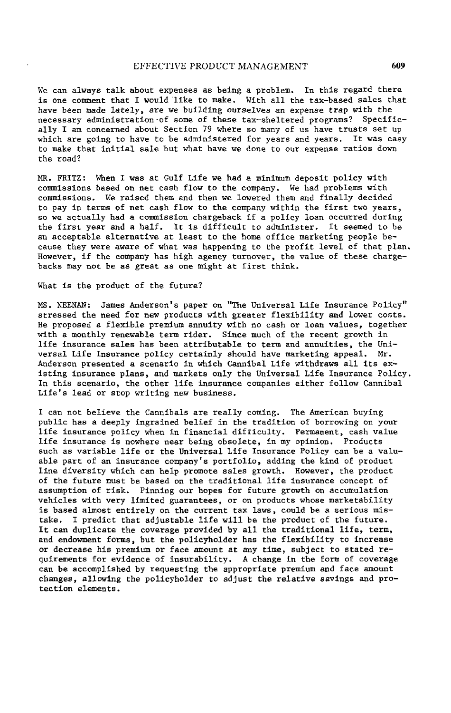We can always talk about expenses as being **a p**roblem, In this regard there is one comment that I would llke to make, With all the tax-based sales that have been made lately, are we building ourselves an expense trap with the necessary administration of some of these tax-sheltered programs? Specifically I am concerned about Section 79 where so many of us have trusts set up which are going to have to be administered for years and years. It was easy to make that initial sale but what have we done to our expense ratios down the road?

MR. FRITZ: When I was at Gulf Life we had a minimum deposit policy with commissions based on net cash flow to the company. We had problems with commissions. We raised them and then we lowered them and finally decided to pay in terms of net cash flow to the company within the first two years, so we actually had a commission chargeback if a policy loan occurred during the first year and a half. It is difficult to administer. It seemed to be an acceptable alternative at least to the home office marketing people because they were aware of what was happening to the profit level of that plan. However, if the company has high agency turnover, the value of these chargehacks may not be as great as one might at first think.

What is the product of the future?

MS. NEENAN: James Anderson's paper on "The Universal Life Insurance Policy" stressed the need for new products with greater flexibility and lower costs. He proposed a flexible premium annuity with no cash or loan values, together with a monthly renewable term rider. Since much of the recent growth in llfe insurance sales has been attributable to term and annuities, the Universal Life Insurance policy certainly should have marketing appeal. Mr. Anderson presented a scenario in which Cannibal Life withdraws all its existing insurance plans, and markets only the Universal Life Insurance Policy. In this scenario, the other life insurance companies either follow Cannibal Life's lead or stop writing new business,

I can not believe the Cannibals are really coming. The American buying public has a deeply ingrained belief in the tradition of borrowing on your life insurance policy when in financial difficulty. Permanent, cash value llfe insurance is nowhere near being obsolete, in my opinion. Products such as variable life or the Universal Life Insurance Policy can be a valuable part of an insurance company's portfolio, adding the kind of product line diversity which can help promote sales growth. However, the product of the future must be based on the traditional llfe insurance concept of assumption of risk. Pinning our hopes for future growth on accumulation vehicles with very limited guarantees, or on products whose marketability is based almost entirely on the current tax laws, could be a serious mistake. I predict that adjustable life will be the product of the future. It can duplicate the coverage provided by all the traditional life, term, and endowment forms, but the policyholder has the flexibility to increase or decrease his premium or face amount at any time, subject to stated requirements for evidence of insurability. A change in the form of coverage can be accomplished by requesting the appropriate premium and face amount changes, allowing the policyholder to adjust the relative savings and protection elements.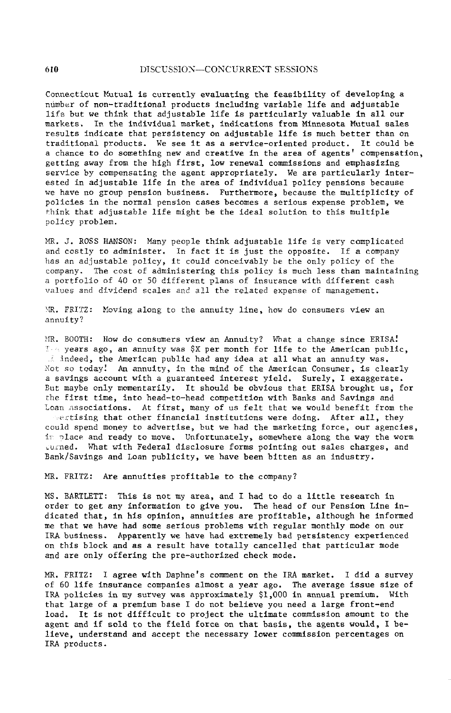Connecticut Mutual is currently evaluating the feasibility of developing a ndmber of non-traditlonal products including variable life and adjustable life but we think that adjustable life is particularly valuable in all our markets. In the individual market, indications from Minnesota Mutual sales results indicate that persistency on adjustable life is much better than on traditional products. We see it as a service-oriented product. It could be a chance to do something new and creative in the area of agents' compensation, getting away from the high first, low renewal commissions and emphasizing service by compensating the agent appropriately. We are particularly interested in adjustable life in the area of individual policy pensions because we have no group pension business. Furthermore, because the multiplicity of policies in the normal pension cases becomes a serious expense problem, we think that adjustable llfe might be the ideal solution to this multiple policy problem.

MR. J. ROSS HANSON: Many people think adjustable life is very complicated and costly to administer. In fact it is just the opposite. If a company has an adjustable policy, it could conceivably be the only policy of the company. The cost of administering this policy is much less than maintaining a portfolio of 40 or 50 different plans of insurance with different cash values and dividend scales and all the related expense of management.

MR. FRITZ: Moving along to the annuity line, how do consumers view an annuity?

MR. BOOTH: How do consumers view an Annuity? What a change since ERISA!  $I_{\text{M}}$  years ago, an annuity was \$X per month for life to the American public, indeed, the American public had any idea at all what an annuity was. Not so today! An annuity, in the mind of the American Consumer, is clearly a savings account with a guaranteed interest yield. Surely, I exaggerate. But maybe only momentarily. It should be obvious that ERISA brought us, for the first time, into head-to-head competition with Banks and Savings and Loan associations. At first, many of us felt that we would benefit from the vertising that other financial institutions were doing. After all, they could spend money to advertise, but we had the marketing force, our agencies, in place and ready to move. Unfortunately, somewhere along the way the worm \_u\_ned. What with Federal disclosure forms pointing out sales charges, and Bank/Savlngs and Loan publicity, we have been bitten as an industry.

MR. FRITZ: Are annuities profitable to the company?

MS. BARTLETT: This is not my area, and I had to do a little research in order to get any information to give you. The head of our Pension Line indicated that, in his opinion, annuities are profitable, although he informed me that we have had some serious problems with regular monthly mode on our IRA business. Apparently we have had extremely bad persistency experienced on this block and as a result have totally cancelled that particular mode and are only offering the pre-authorized check mode.

MR. FRITZ: I agree with Daphne's comment on the IRA market. I did a survey of 60 life insurance companies almost a year ago. The average issue size of IRA policies in my survey was approximately \$I,000 in annual premium. With that large of a premium base I do not believe you need a large front-end load. It is not difficult to project the ultimate commission amount to the agent and if sold to the field force on that basis, the agents would, I believe, understand and accept the necessary lower commission percentages on IRA products.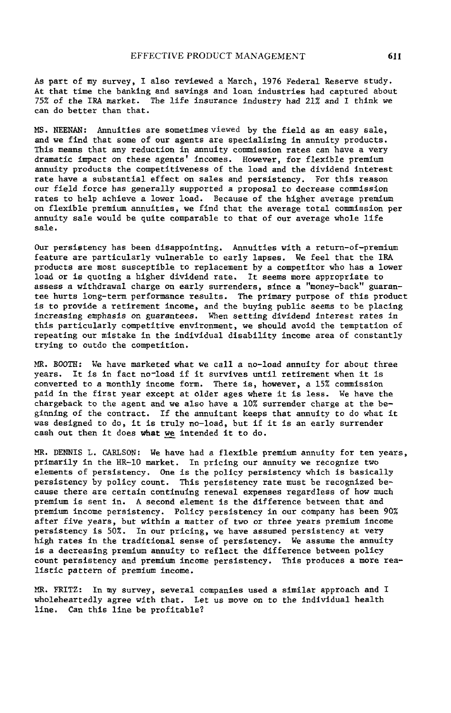As part of my survey, I **a**lso reviewed **a** M**a**rch**,** 1976 Feder**a**l Reserve study. At that time the banking and s**a**vings and loan industries had captured about 75% of the IRA market. The life insurance industry had 21% and I think we can do better than that.

MS. NEENAN: A**n**nuities are sometimes viewed by the field as an easy sale, and we find that some of our agents are s**p**ecializing in annuity products. This means that any reduction in annuity commission rates can have a very dramatic impact on these agents' incomes. However, for flexible premium annuity products the competitiveness of the load and the dividend interest rate have a substantial effect on sales and persistency. For this reason our field force has generally supported a proposal to decrease commission rates to help achieve a lower load. Because of the higher average premium on flexible premium annuities, we find that the average total comm**i**ssion per annuity sale would be quite com**p**arable to that of our average whole life sale.

Our persistency has been disappointing. Annuities with a return-of-premlum feature are particularly vulnerable to early lapses. We feel that the IRA products are most susceptible to replacement by a competitor who has a lower load or is quoting a higher dividend rate. It seems more appropriate to assess a withdrawal charge on early surrenders**,** since a "money-back" guarantee hurts long-term performance results. The primary purpose of this product is to provide a retirement income, and the buying public seems to be placing inc**r**easing **e**mphasis on g**u**arantees. When **se**tting di**v**idend inter**e**st **r**ates in th**i**s parti**c**ularly competitive env**i**ronment, we should avo**id** the temptation of repeating our mistake in the indiv**i**dual disab**i**lity income area of constantly trying to outdo the **c**ompetition.

MR. BOOTH**:** We have marketed what we call a no-load annuity for about three years. It is in fa**c**t no-load if it surv**i**ves until retirement when it is converted to a monthly **i**n**co**me form. There i**s**, h**o**wever, a 15% com**mi**ssion paid in the f**i**rst year ex**c**ept at older ages where **i**t is less. We have the chargeback to the agent and we also have **a** 10% surrender charge at the beginning of the contract. If the annuitant keeps that annuity to do what it was des**i**gned to do, it is truly no-load, but **i**f it is an ear**l**y surrender cash out then it does wh**a**t we **i**ntended it to do.

MR. DENNIS L. CAR**L**SON: We have had a flexible prem**i**um ann**u**ity for ten ye**a**rs, primarily in the HR**-**10 market. In pri**c**ing our annuity we recognize two elements of persistency. One **i**s the policy pers**i**sten**c**y which **i**s basically persisten**c**y by policy **c**ount. Th**i**s persistency rate must be recogn**i**zed be**c**ause there are certain contin**u**ing renewa**l** expenses regardless of how mu**c**h premium is sent in. A se**c**ond element is the d**i**fference between that and premium **i**ncome persistency. Pol**i**cy persisten**c**y in our company has been 90% after five years, but within a matter of two or three years premium inco**m**e persistency is **5**0%. In our pricing, we have assumed pers**i**sten**c**y at very high rates in the traditiona**l** sense of persistency. We **a**s**s**ume the annuity **i**s a de**c**reasing premium annuity to reflect the difference be**t**ween pol**i**cy co**u**nt pers**i**sten**c**y and premium **i**n**c**o**m**e persistency. This produces a more re**al**istic **p**attern of **p**remium in**c**ome.

MR. FRITZ: In my survey, several **c**ompan**i**es used a similar approa**c**h and I wholeheartedly agree with that. Let us move on to the individual health llne. **C**a**n** th**is** li**n**e be profitable?